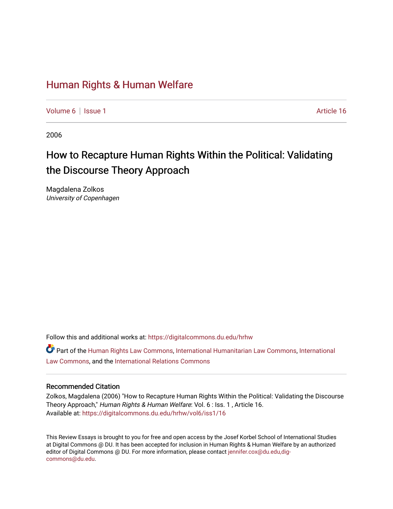# [Human Rights & Human Welfare](https://digitalcommons.du.edu/hrhw)

[Volume 6](https://digitalcommons.du.edu/hrhw/vol6) | [Issue 1](https://digitalcommons.du.edu/hrhw/vol6/iss1) Article 16

2006

# How to Recapture Human Rights Within the Political: Validating the Discourse Theory Approach

Magdalena Zolkos University of Copenhagen

Follow this and additional works at: [https://digitalcommons.du.edu/hrhw](https://digitalcommons.du.edu/hrhw?utm_source=digitalcommons.du.edu%2Fhrhw%2Fvol6%2Fiss1%2F16&utm_medium=PDF&utm_campaign=PDFCoverPages)

Part of the [Human Rights Law Commons,](http://network.bepress.com/hgg/discipline/847?utm_source=digitalcommons.du.edu%2Fhrhw%2Fvol6%2Fiss1%2F16&utm_medium=PDF&utm_campaign=PDFCoverPages) [International Humanitarian Law Commons](http://network.bepress.com/hgg/discipline/1330?utm_source=digitalcommons.du.edu%2Fhrhw%2Fvol6%2Fiss1%2F16&utm_medium=PDF&utm_campaign=PDFCoverPages), [International](http://network.bepress.com/hgg/discipline/609?utm_source=digitalcommons.du.edu%2Fhrhw%2Fvol6%2Fiss1%2F16&utm_medium=PDF&utm_campaign=PDFCoverPages) [Law Commons,](http://network.bepress.com/hgg/discipline/609?utm_source=digitalcommons.du.edu%2Fhrhw%2Fvol6%2Fiss1%2F16&utm_medium=PDF&utm_campaign=PDFCoverPages) and the [International Relations Commons](http://network.bepress.com/hgg/discipline/389?utm_source=digitalcommons.du.edu%2Fhrhw%2Fvol6%2Fiss1%2F16&utm_medium=PDF&utm_campaign=PDFCoverPages)

#### Recommended Citation

Zolkos, Magdalena (2006) "How to Recapture Human Rights Within the Political: Validating the Discourse Theory Approach," Human Rights & Human Welfare: Vol. 6 : Iss. 1 , Article 16. Available at: [https://digitalcommons.du.edu/hrhw/vol6/iss1/16](https://digitalcommons.du.edu/hrhw/vol6/iss1/16?utm_source=digitalcommons.du.edu%2Fhrhw%2Fvol6%2Fiss1%2F16&utm_medium=PDF&utm_campaign=PDFCoverPages) 

This Review Essays is brought to you for free and open access by the Josef Korbel School of International Studies at Digital Commons @ DU. It has been accepted for inclusion in Human Rights & Human Welfare by an authorized editor of Digital Commons @ DU. For more information, please contact [jennifer.cox@du.edu,dig](mailto:jennifer.cox@du.edu,dig-commons@du.edu)[commons@du.edu.](mailto:jennifer.cox@du.edu,dig-commons@du.edu)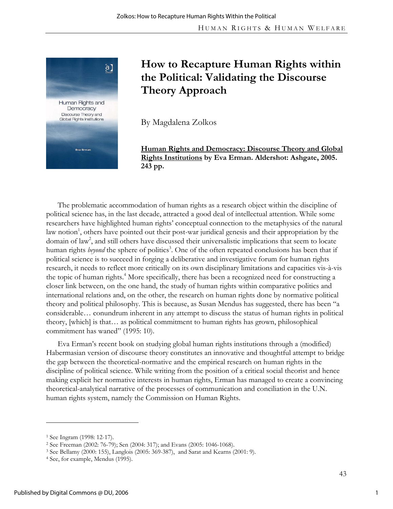

# **How to Recapture Human Rights within the Political: Validating the Discourse Theory Approach**

By Magdalena Zolkos

**Human Rights and Democracy: Discourse Theory and Global Rights Institutions by Eva Erman. Aldershot: Ashgate, 2005. 243 pp.** 

The problematic accommodation of human rights as a research object within the discipline of political science has, in the last decade, attracted a good deal of intellectual attention. While some researchers have highlighted human rights' conceptual connection to the metaphysics of the natural law notion<sup>1</sup>, others have pointed out their post-war juridical genesis and their appropriation by the domain of law<sup>2</sup>, and still others have discussed their universalistic implications that seem to locate human rights *beyond* the sphere of politics<sup>3</sup>. One of the often repeated conclusions has been that if political science is to succeed in forging a deliberative and investigative forum for human rights research, it needs to reflect more critically on its own disciplinary limitations and capacities vis-à-vis the topic of human rights.<sup>4</sup> More specifically, there has been a recognized need for constructing a closer link between, on the one hand, the study of human rights within comparative politics and international relations and, on the other, the research on human rights done by normative political theory and political philosophy. This is because, as Susan Mendus has suggested, there has been "a considerable… conundrum inherent in any attempt to discuss the status of human rights in political theory, [which] is that… as political commitment to human rights has grown, philosophical commitment has waned" (1995: 10).

Eva Erman's recent book on studying global human rights institutions through a (modified) Habermasian version of discourse theory constitutes an innovative and thoughtful attempt to bridge the gap between the theoretical-normative and the empirical research on human rights in the discipline of political science. While writing from the position of a critical social theorist and hence making explicit her normative interests in human rights, Erman has managed to create a convincing theoretical-analytical narrative of the processes of communication and conciliation in the U.N. human rights system, namely the Commission on Human Rights.

-

<sup>1</sup> See Ingram (1998: 12-17).

<sup>&</sup>lt;sup>2</sup> See Freeman (2002: 76-79); Sen (2004: 317); and Evans (2005: 1046-1068).<br><sup>3</sup> See Bellamy (2000: 155), Langlois (2005: 369-387), and Sarat and Kearns (2001: 9).<br><sup>4</sup> See, for example, Mendus (1995).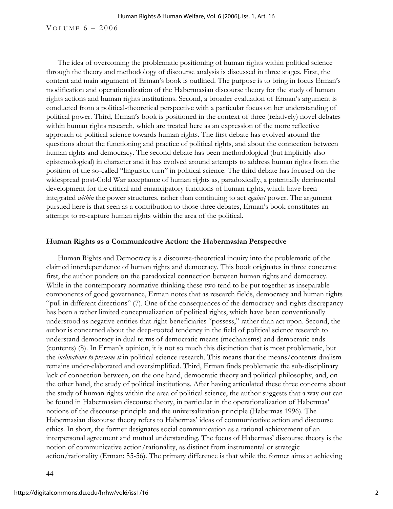## VOLUME  $6 - 2006$

The idea of overcoming the problematic positioning of human rights within political science through the theory and methodology of discourse analysis is discussed in three stages. First, the content and main argument of Erman's book is outlined. The purpose is to bring in focus Erman's modification and operationalization of the Habermasian discourse theory for the study of human rights actions and human rights institutions. Second, a broader evaluation of Erman's argument is conducted from a political-theoretical perspective with a particular focus on her understanding of political power. Third, Erman's book is positioned in the context of three (relatively) novel debates within human rights research, which are treated here as an expression of the more reflective approach of political science towards human rights. The first debate has evolved around the questions about the functioning and practice of political rights, and about the connection between human rights and democracy. The second debate has been methodological (but implicitly also epistemological) in character and it has evolved around attempts to address human rights from the position of the so-called "linguistic turn" in political science. The third debate has focused on the widespread post-Cold War acceptance of human rights as, paradoxically, a potentially detrimental development for the critical and emancipatory functions of human rights, which have been integrated *within* the power structures, rather than continuing to act *against* power. The argument pursued here is that seen as a contribution to those three debates, Erman's book constitutes an attempt to re-capture human rights within the area of the political.

### **Human Rights as a Communicative Action: the Habermasian Perspective**

Human Rights and Democracy is a discourse-theoretical inquiry into the problematic of the claimed interdependence of human rights and democracy. This book originates in three concerns: first, the author ponders on the paradoxical connection between human rights and democracy. While in the contemporary normative thinking these two tend to be put together as inseparable components of good governance, Erman notes that as research fields, democracy and human rights "pull in different directions" (7). One of the consequences of the democracy-and-rights discrepancy has been a rather limited conceptualization of political rights, which have been conventionally understood as negative entities that right-beneficiaries "possess," rather than act upon. Second, the author is concerned about the deep-rooted tendency in the field of political science research to understand democracy in dual terms of democratic means (mechanisms) and democratic ends (contents) (8). In Erman's opinion, it is not so much this distinction that is most problematic, but the *inclinations to presume it* in political science research. This means that the means/contents dualism remains under-elaborated and oversimplified. Third, Erman finds problematic the sub-disciplinary lack of connection between, on the one hand, democratic theory and political philosophy, and, on the other hand, the study of political institutions. After having articulated these three concerns about the study of human rights within the area of political science, the author suggests that a way out can be found in Habermasian discourse theory, in particular in the operationalization of Habermas' notions of the discourse-principle and the universalization-principle (Habermas 1996). The Habermasian discourse theory refers to Habermas' ideas of communicative action and discourse ethics. In short, the former designates social communication as a rational achievement of an interpersonal agreement and mutual understanding. The focus of Habermas' discourse theory is the notion of communicative action/rationality, as distinct from instrumental or strategic action/rationality (Erman: 55-56). The primary difference is that while the former aims at achieving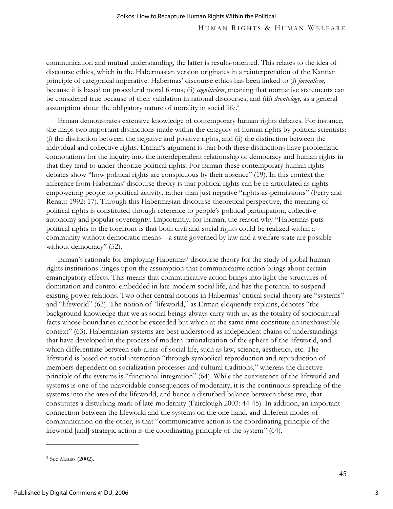communication and mutual understanding, the latter is results-oriented. This relates to the idea of discourse ethics, which in the Habermasian version originates in a reinterpretation of the Kantian principle of categorical imperative. Habermas' discourse ethics has been linked to (i) *formalism*, because it is based on procedural moral forms; (ii) *cognitivism*, meaning that normative statements can be considered true because of their validation in rational discourses; and (iii) *deontology*, as a general assumption about the obligatory nature of morality in social life.<sup>5</sup>

Erman demonstrates extensive knowledge of contemporary human rights debates. For instance, she maps two important distinctions made within the category of human rights by political scientists: (i) the distinction between the negative and positive rights, and (ii) the distinction between the individual and collective rights. Erman's argument is that both these distinctions have problematic connotations for the inquiry into the interdependent relationship of democracy and human rights in that they tend to under-theorize political rights. For Erman these contemporary human rights debates show "how political rights are conspicuous by their absence" (19). In this context the inference from Habermas' discourse theory is that political rights can be re-articulated as rights empowering people to political activity, rather than just negative "rights-as-permissions" (Ferry and Renaut 1992: 17). Through this Habermasian discourse-theoretical perspective, the meaning of political rights is constituted through reference to people's political participation, collective autonomy and popular sovereignty. Importantly, for Erman, the reason why "Habermas puts political rights to the forefront is that both civil and social rights could be realized within a community without democratic means—a state governed by law and a welfare state are possible without democracy" (52).

Erman's rationale for employing Habermas' discourse theory for the study of global human rights institutions hinges upon the assumption that communicative action brings about certain emancipatory effects. This means that communicative action brings into light the structures of domination and control embedded in late-modern social life, and has the potential to suspend existing power relations. Two other central notions in Habermas' critical social theory are "systems" and "lifeworld" (63). The notion of "lifeworld," as Erman eloquently explains, denotes "the background knowledge that we as social beings always carry with us, as the totality of sociocultural facts whose boundaries cannot be exceeded but which at the same time constitute an inexhaustible context" (63). Habermasian systems are best understood as independent chains of understandings that have developed in the process of modern rationalization of the sphere of the lifeworld, and which differentiate between sub-areas of social life, such as law, science, aesthetics, etc. The lifeworld is based on social interaction "through symbolical reproduction and reproduction of members dependent on socialization processes and cultural traditions," whereas the directive principle of the systems is "functional integration" (64). While the coexistence of the lifeworld and systems is one of the unavoidable consequences of modernity, it is the continuous spreading of the systems into the area of the lifeworld, and hence a disturbed balance between these two, that constitutes a disturbing mark of late-modernity (Fairclough 2003: 44-45). In addition, an important connection between the lifeworld and the systems on the one hand, and different modes of communication on the other, is that "communicative action is the coordinating principle of the lifeworld [and] strategic action is the coordinating principle of the system" (64).

-

<sup>5</sup> See Mauss (2002).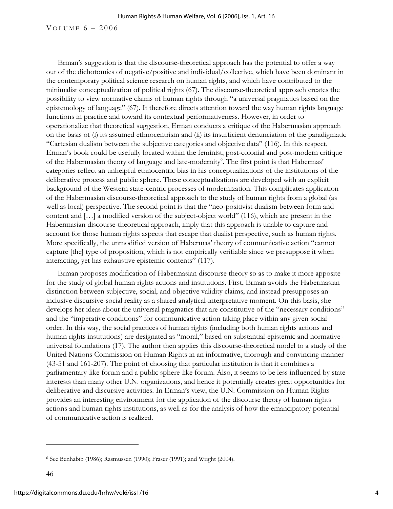## VOLUME  $6 - 2006$

Erman's suggestion is that the discourse-theoretical approach has the potential to offer a way out of the dichotomies of negative/positive and individual/collective, which have been dominant in the contemporary political science research on human rights, and which have contributed to the minimalist conceptualization of political rights (67). The discourse-theoretical approach creates the possibility to view normative claims of human rights through "a universal pragmatics based on the epistemology of language" (67). It therefore directs attention toward the way human rights language functions in practice and toward its contextual performativeness. However, in order to operationalize that theoretical suggestion, Erman conducts a critique of the Habermasian approach on the basis of (i) its assumed ethnocentrism and (ii) its insufficient denunciation of the paradigmatic "Cartesian dualism between the subjective categories and objective data" (116). In this respect, Erman's book could be usefully located within the feminist, post-colonial and post-modern critique of the Habermasian theory of language and late-modernity<sup>6</sup>. The first point is that Habermas' categories reflect an unhelpful ethnocentric bias in his conceptualizations of the institutions of the deliberative process and public sphere. These conceptualizations are developed with an explicit background of the Western state-centric processes of modernization. This complicates application of the Habermasian discourse-theoretical approach to the study of human rights from a global (as well as local) perspective. The second point is that the "neo-positivist dualism between form and content and […] a modified version of the subject-object world" (116), which are present in the Habermasian discourse-theoretical approach, imply that this approach is unable to capture and account for those human rights aspects that escape that dualist perspective, such as human rights. More specifically, the unmodified version of Habermas' theory of communicative action "cannot capture [the] type of proposition, which is not empirically verifiable since we presuppose it when interacting, yet has exhaustive epistemic contents" (117).

Erman proposes modification of Habermasian discourse theory so as to make it more apposite for the study of global human rights actions and institutions. First, Erman avoids the Habermasian distinction between subjective, social, and objective validity claims, and instead presupposes an inclusive discursive-social reality as a shared analytical-interpretative moment. On this basis, she develops her ideas about the universal pragmatics that are constitutive of the "necessary conditions" and the "imperative conditions" for communicative action taking place within any given social order. In this way, the social practices of human rights (including both human rights actions and human rights institutions) are designated as "moral," based on substantial-epistemic and normativeuniversal foundations (17). The author then applies this discourse-theoretical model to a study of the United Nations Commission on Human Rights in an informative, thorough and convincing manner (43-51 and 161-207). The point of choosing that particular institution is that it combines a parliamentary-like forum and a public sphere-like forum. Also, it seems to be less influenced by state interests than many other U.N. organizations, and hence it potentially creates great opportunities for deliberative and discursive activities. In Erman's view, the U.N. Commission on Human Rights provides an interesting environment for the application of the discourse theory of human rights actions and human rights institutions, as well as for the analysis of how the emancipatory potential of communicative action is realized.

 $\overline{a}$ 

<sup>6</sup> See Benhabib (1986); Rasmussen (1990); Fraser (1991); and Wright (2004).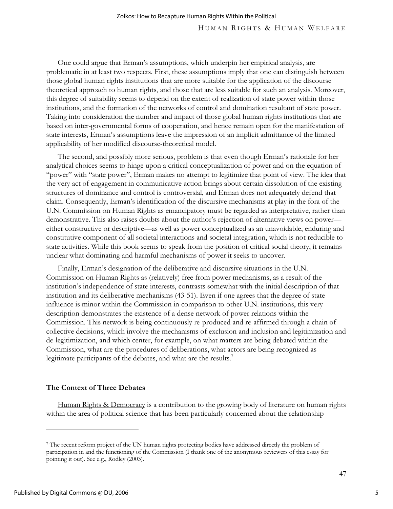One could argue that Erman's assumptions, which underpin her empirical analysis, are problematic in at least two respects. First, these assumptions imply that one can distinguish between those global human rights institutions that are more suitable for the application of the discourse theoretical approach to human rights, and those that are less suitable for such an analysis. Moreover, this degree of suitability seems to depend on the extent of realization of state power within those institutions, and the formation of the networks of control and domination resultant of state power. Taking into consideration the number and impact of those global human rights institutions that are based on inter-governmental forms of cooperation, and hence remain open for the manifestation of state interests, Erman's assumptions leave the impression of an implicit admittance of the limited applicability of her modified discourse-theoretical model.

The second, and possibly more serious, problem is that even though Erman's rationale for her analytical choices seems to hinge upon a critical conceptualization of power and on the equation of "power" with "state power", Erman makes no attempt to legitimize that point of view. The idea that the very act of engagement in communicative action brings about certain dissolution of the existing structures of dominance and control is controversial, and Erman does not adequately defend that claim. Consequently, Erman's identification of the discursive mechanisms at play in the fora of the U.N. Commission on Human Rights as emancipatory must be regarded as interpretative, rather than demonstrative. This also raises doubts about the author's rejection of alternative views on power either constructive or descriptive—as well as power conceptualized as an unavoidable, enduring and constitutive component of all societal interactions and societal integration, which is not reducible to state activities. While this book seems to speak from the position of critical social theory, it remains unclear what dominating and harmful mechanisms of power it seeks to uncover.

Finally, Erman's designation of the deliberative and discursive situations in the U.N. Commission on Human Rights as (relatively) free from power mechanisms, as a result of the institution's independence of state interests, contrasts somewhat with the initial description of that institution and its deliberative mechanisms (43-51). Even if one agrees that the degree of state influence is minor within the Commission in comparison to other U.N. institutions, this very description demonstrates the existence of a dense network of power relations within the Commission. This network is being continuously re-produced and re-affirmed through a chain of collective decisions, which involve the mechanisms of exclusion and inclusion and legitimization and de-legitimization, and which center, for example, on what matters are being debated within the Commission, what are the procedures of deliberations, what actors are being recognized as legitimate participants of the debates, and what are the results.<sup>7</sup>

# **The Context of Three Debates**

Human Rights & Democracy is a contribution to the growing body of literature on human rights within the area of political science that has been particularly concerned about the relationship

 $\overline{a}$ 

<sup>7</sup> The recent reform project of the UN human rights protecting bodies have addressed directly the problem of participation in and the functioning of the Commission (I thank one of the anonymous reviewers of this essay for pointing it out). See e.g., Rodley (2003).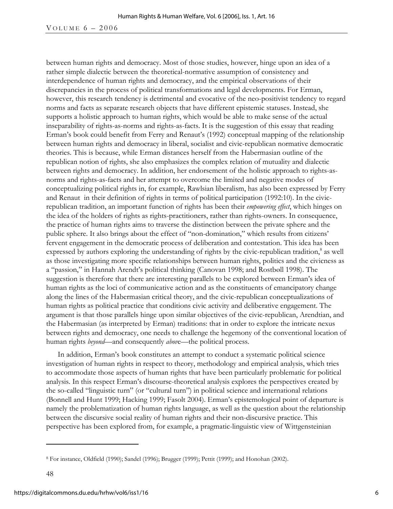#### VOLUME  $6 - 2006$

between human rights and democracy. Most of those studies, however, hinge upon an idea of a rather simple dialectic between the theoretical-normative assumption of consistency and interdependence of human rights and democracy, and the empirical observations of their discrepancies in the process of political transformations and legal developments. For Erman, however, this research tendency is detrimental and evocative of the neo-positivist tendency to regard norms and facts as separate research objects that have different epistemic statuses. Instead, she supports a holistic approach to human rights, which would be able to make sense of the actual inseparability of rights-as-norms and rights-as-facts. It is the suggestion of this essay that reading Erman's book could benefit from Ferry and Renaut's (1992) conceptual mapping of the relationship between human rights and democracy in liberal, socialist and civic-republican normative democratic theories. This is because, while Erman distances herself from the Habermasian outline of the republican notion of rights, she also emphasizes the complex relation of mutuality and dialectic between rights and democracy. In addition, her endorsement of the holistic approach to rights-asnorms and rights-as-facts and her attempt to overcome the limited and negative modes of conceptualizing political rights in, for example, Rawlsian liberalism, has also been expressed by Ferry and Renaut in their definition of rights in terms of political participation (1992:10). In the civicrepublican tradition, an important function of rights has been their *empowering effect*, which hinges on the idea of the holders of rights as rights-practitioners, rather than rights-owners. In consequence, the practice of human rights aims to traverse the distinction between the private sphere and the public sphere. It also brings about the effect of "non-domination," which results from citizens' fervent engagement in the democratic process of deliberation and contestation. This idea has been expressed by authors exploring the understanding of rights by the civic-republican tradition,<sup>8</sup> as well as those investigating more specific relationships between human rights, politics and the civicness as a "passion," in Hannah Arendt's political thinking (Canovan 1998; and Rostbøll 1998). The suggestion is therefore that there are interesting parallels to be explored between Erman's idea of human rights as the loci of communicative action and as the constituents of emancipatory change along the lines of the Habermasian critical theory, and the civic-republican conceptualizations of human rights as political practice that conditions civic activity and deliberative engagement. The argument is that those parallels hinge upon similar objectives of the civic-republican, Arendtian, and the Habermasian (as interpreted by Erman) traditions: that in order to explore the intricate nexus between rights and democracy, one needs to challenge the hegemony of the conventional location of human rights *beyond*—and consequently *abov*e—the political process.

In addition, Erman's book constitutes an attempt to conduct a systematic political science investigation of human rights in respect to theory, methodology and empirical analysis, which tries to accommodate those aspects of human rights that have been particularly problematic for political analysis. In this respect Erman's discourse-theoretical analysis explores the perspectives created by the so-called "linguistic turn" (or "cultural turn") in political science and international relations (Bonnell and Hunt 1999; Hacking 1999; Fasolt 2004). Erman's epistemological point of departure is namely the problematization of human rights language, as well as the question about the relationship between the discursive social reality of human rights and their non-discursive practice. This perspective has been explored from, for example, a pragmatic-linguistic view of Wittgensteinian

 $\overline{a}$ 

<sup>8</sup> For instance, Oldfield (1990); Sandel (1996); Brugger (1999); Pettit (1999); and Honohan (2002).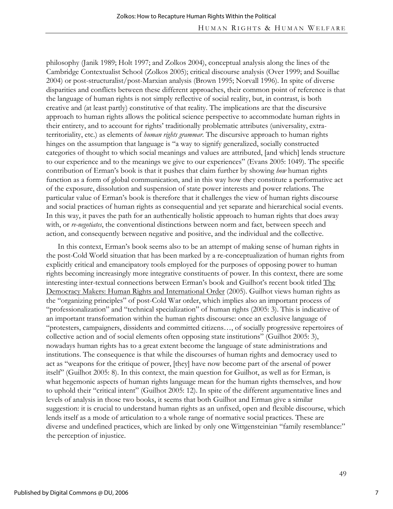philosophy (Janik 1989; Holt 1997; and Zolkos 2004), conceptual analysis along the lines of the Cambridge Contextualist School (Zolkos 2005); critical discourse analysis (Over 1999; and Souillac 2004) or post-structuralist/post-Marxian analysis (Brown 1995; Norvall 1996). In spite of diverse disparities and conflicts between these different approaches, their common point of reference is that the language of human rights is not simply reflective of social reality, but, in contrast, is both creative and (at least partly) constitutive of that reality. The implications are that the discursive approach to human rights allows the political science perspective to accommodate human rights in their entirety, and to account for rights' traditionally problematic attributes (universality, extraterritoriality, etc.) as elements of *human rights grammar*. The discursive approach to human rights hinges on the assumption that language is "a way to signify generalized, socially constructed categories of thought to which social meanings and values are attributed, [and which] lends structure to our experience and to the meanings we give to our experiences" (Evans 2005: 1049). The specific contribution of Erman's book is that it pushes that claim further by showing *how* human rights function as a form of global communication, and in this way how they constitute a performative act of the exposure, dissolution and suspension of state power interests and power relations. The particular value of Erman's book is therefore that it challenges the view of human rights discourse and social practices of human rights as consequential and yet separate and hierarchical social events. In this way, it paves the path for an authentically holistic approach to human rights that does away with, or *re-negotiates*, the conventional distinctions between norm and fact, between speech and action, and consequently between negative and positive, and the individual and the collective.

In this context, Erman's book seems also to be an attempt of making sense of human rights in the post-Cold World situation that has been marked by a re-conceptualization of human rights from explicitly critical and emancipatory tools employed for the purposes of opposing power to human rights becoming increasingly more integrative constituents of power. In this context, there are some interesting inter-textual connections between Erman's book and Guilhot's recent book titled The Democracy Makers: Human Rights and International Order (2005). Guilhot views human rights as the "organizing principles" of post-Cold War order, which implies also an important process of "professionalization" and "technical specialization" of human rights (2005: 3). This is indicative of an important transformation within the human rights discourse: once an exclusive language of "protesters, campaigners, dissidents and committed citizens…, of socially progressive repertoires of collective action and of social elements often opposing state institutions" (Guilhot 2005: 3), nowadays human rights has to a great extent become the language of state administrations and institutions. The consequence is that while the discourses of human rights and democracy used to act as "weapons for the critique of power, [they] have now become part of the arsenal of power itself" (Guilhot 2005: 8). In this context, the main question for Guilhot, as well as for Erman, is what hegemonic aspects of human rights language mean for the human rights themselves, and how to uphold their "critical intent" (Guilhot 2005: 12). In spite of the different argumentative lines and levels of analysis in those two books, it seems that both Guilhot and Erman give a similar suggestion: it is crucial to understand human rights as an unfixed, open and flexible discourse, which lends itself as a mode of articulation to a whole range of normative social practices. These are diverse and undefined practices, which are linked by only one Wittgensteinian "family resemblance:" the perception of injustice.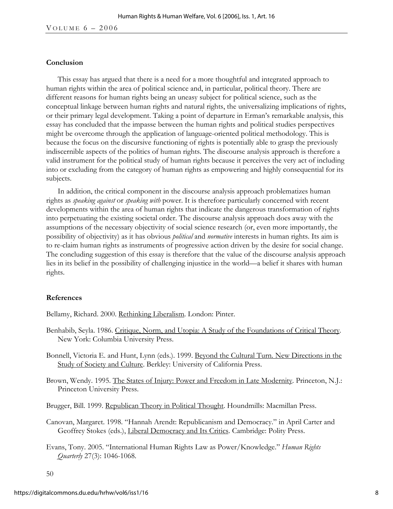#### **Conclusion**

This essay has argued that there is a need for a more thoughtful and integrated approach to human rights within the area of political science and, in particular, political theory. There are different reasons for human rights being an uneasy subject for political science, such as the conceptual linkage between human rights and natural rights, the universalizing implications of rights, or their primary legal development. Taking a point of departure in Erman's remarkable analysis, this essay has concluded that the impasse between the human rights and political studies perspectives might be overcome through the application of language-oriented political methodology. This is because the focus on the discursive functioning of rights is potentially able to grasp the previously indiscernible aspects of the politics of human rights. The discourse analysis approach is therefore a valid instrument for the political study of human rights because it perceives the very act of including into or excluding from the category of human rights as empowering and highly consequential for its subjects.

In addition, the critical component in the discourse analysis approach problematizes human rights as *speaking against* or *speaking with* power. It is therefore particularly concerned with recent developments within the area of human rights that indicate the dangerous transformation of rights into perpetuating the existing societal order. The discourse analysis approach does away with the assumptions of the necessary objectivity of social science research (or, even more importantly, the possibility of objectivity) as it has obvious *political* and *normative* interests in human rights. Its aim is to re-claim human rights as instruments of progressive action driven by the desire for social change. The concluding suggestion of this essay is therefore that the value of the discourse analysis approach lies in its belief in the possibility of challenging injustice in the world—a belief it shares with human rights.

#### **References**

Bellamy, Richard. 2000. Rethinking Liberalism. London: Pinter.

- Benhabib, Seyla. 1986. Critique, Norm, and Utopia: A Study of the Foundations of Critical Theory*.* New York: Columbia University Press.
- Bonnell, Victoria E. and Hunt, Lynn (eds.). 1999. Beyond the Cultural Turn. New Directions in the Study of Society and Culture. Berkley: University of California Press.
- Brown, Wendy. 1995. The States of Injury: Power and Freedom in Late Modernity. Princeton, N.J.: Princeton University Press.

Brugger, Bill. 1999. Republican Theory in Political Thought. Houndmills: Macmillan Press.

- Canovan, Margaret. 1998. "Hannah Arendt: Republicanism and Democracy." in April Carter and Geoffrey Stokes (eds.), Liberal Democracy and Its Critics. Cambridge: Polity Press.
- Evans, Tony. 2005. "International Human Rights Law as Power/Knowledge." *Human Rights Quarterly* 27(3): 1046-1068.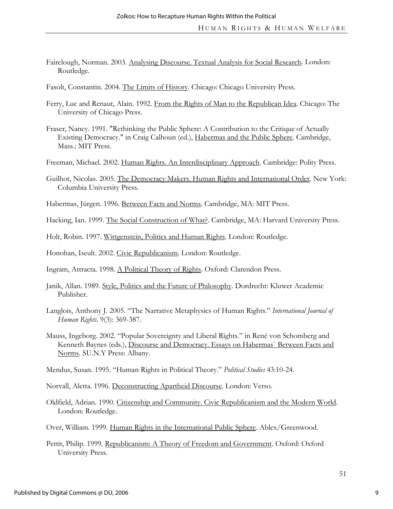- Fairclough, Norman. 2003. Analysing Discourse. Textual Analysis for Social Research. London: Routledge.
- Fasolt, Constantin. 2004. The Limits of History. Chicago: Chicago University Press.
- Ferry, Luc and Renaut, Alain. 1992. From the Rights of Man to the Republican Idea. Chicago: The University of Chicago Press.
- Fraser, Nancy. 1991. "Rethinking the Public Sphere: A Contribution to the Critique of Actually Existing Democracy." in Craig Calhoun (ed.), Habermas and the Public Sphere. Cambridge, Mass.: MIT Press.
- Freeman, Michael. 2002. Human Rights. An Interdisciplinary Approach. Cambridge: Polity Press.
- Guilhot, Nicolas. 2005. The Democracy Makers. Human Rights and International Order. New York: Columbia University Press.
- Habermas, Jürgen. 1996. Between Facts and Norms. Cambridge, MA: MIT Press.
- Hacking, Ian. 1999. The Social Construction of What?. Cambridge, MA: Harvard University Press.
- Holt, Robin. 1997. Wittgenstein, Politics and Human Rights. London: Routledge.
- Honohan, Iseult. 2002. Civic Republicanism. London: Routledge.

Ingram, Attracta. 1998. A Political Theory of Rights. Oxford: Clarendon Press.

- Janik, Allan. 1989. Style, Politics and the Future of Philosophy. Dordrecht: Kluwer Academic Publisher.
- Langlois, Anthony J. 2005. "The Narrative Metaphysics of Human Rights." *International Journal of Human Rights*. 9(3): 369-387.
- Mauss, Ingeborg. 2002. "Popular Sovereignty and Liberal Rights." in René von Schomberg and Kenneth Baynes (eds.), Discourse and Democracy. Essays on Habermas` Between Facts and Norms. SU.N.Y Press: Albany.

Mendus, Susan. 1995. "Human Rights in Political Theory." *Political Studies* 43:10-24.

Norvall, Aletta. 1996. Deconstructing Apartheid Discourse. London: Verso.

- Oldfield, Adrian. 1990. Citizenship and Community. Civic Republicanism and the Modern World. London: Routledge.
- Over, William. 1999. Human Rights in the International Public Sphere. Ablex/Greenwood.
- Pettit, Philip. 1999. Republicanism: A Theory of Freedom and Government. Oxford: Oxford University Press.